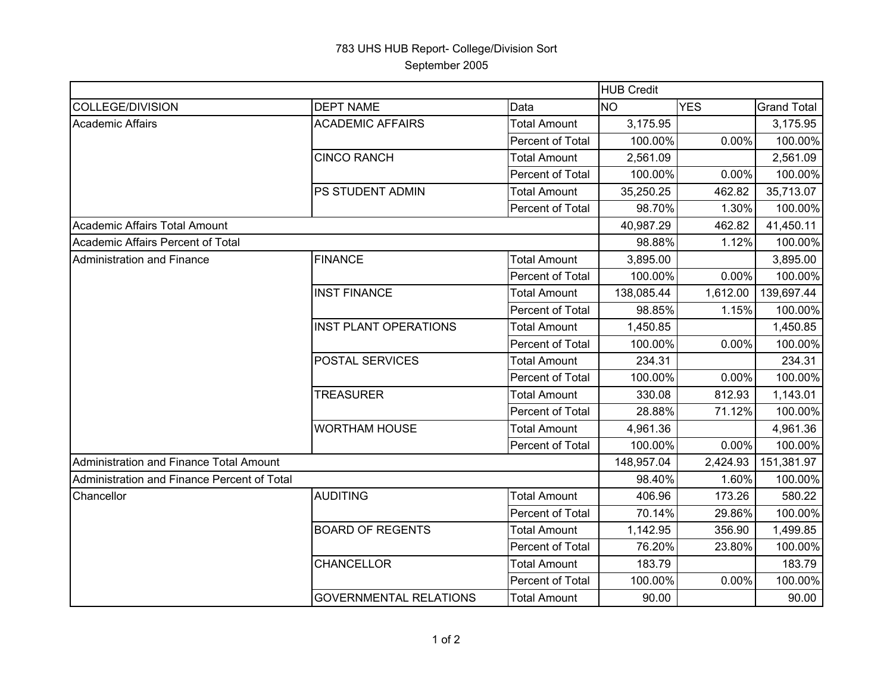## 783 UHS HUB Report- College/Division Sort September 2005

|                                             |                               |                         | <b>HUB Credit</b> |            |                    |  |
|---------------------------------------------|-------------------------------|-------------------------|-------------------|------------|--------------------|--|
| COLLEGE/DIVISION                            | <b>DEPT NAME</b>              | Data                    | <b>NO</b>         | <b>YES</b> | <b>Grand Total</b> |  |
| Academic Affairs                            | <b>ACADEMIC AFFAIRS</b>       | <b>Total Amount</b>     | 3,175.95          |            | 3,175.95           |  |
|                                             |                               | Percent of Total        | 100.00%           | 0.00%      | 100.00%            |  |
|                                             | <b>CINCO RANCH</b>            | <b>Total Amount</b>     | 2,561.09          |            | 2,561.09           |  |
|                                             |                               | Percent of Total        | 100.00%           | 0.00%      | 100.00%            |  |
|                                             | PS STUDENT ADMIN              | <b>Total Amount</b>     | 35,250.25         | 462.82     | 35,713.07          |  |
|                                             |                               | Percent of Total        | 98.70%            | 1.30%      | 100.00%            |  |
| Academic Affairs Total Amount               |                               |                         | 40,987.29         | 462.82     | 41,450.11          |  |
| Academic Affairs Percent of Total           |                               |                         | 98.88%            | 1.12%      | 100.00%            |  |
| Administration and Finance                  | <b>FINANCE</b>                | <b>Total Amount</b>     | 3,895.00          |            | 3,895.00           |  |
|                                             |                               | Percent of Total        | 100.00%           | 0.00%      | 100.00%            |  |
|                                             | <b>INST FINANCE</b>           | <b>Total Amount</b>     | 138,085.44        | 1,612.00   | 139,697.44         |  |
|                                             |                               | Percent of Total        | 98.85%            | 1.15%      | 100.00%            |  |
|                                             | <b>INST PLANT OPERATIONS</b>  | <b>Total Amount</b>     | 1,450.85          |            | 1,450.85           |  |
|                                             |                               | Percent of Total        | 100.00%           | 0.00%      | 100.00%            |  |
|                                             | POSTAL SERVICES               | <b>Total Amount</b>     | 234.31            |            | 234.31             |  |
|                                             |                               | <b>Percent of Total</b> | 100.00%           | 0.00%      | 100.00%            |  |
|                                             | <b>TREASURER</b>              | <b>Total Amount</b>     | 330.08            | 812.93     | 1,143.01           |  |
|                                             |                               | Percent of Total        | 28.88%            | 71.12%     | 100.00%            |  |
|                                             | <b>WORTHAM HOUSE</b>          | <b>Total Amount</b>     | 4,961.36          |            | 4,961.36           |  |
|                                             |                               | Percent of Total        | 100.00%           | 0.00%      | 100.00%            |  |
| Administration and Finance Total Amount     |                               |                         | 148,957.04        | 2,424.93   | 151,381.97         |  |
| Administration and Finance Percent of Total |                               |                         | 98.40%            | 1.60%      | 100.00%            |  |
| Chancellor                                  | <b>AUDITING</b>               | <b>Total Amount</b>     | 406.96            | 173.26     | 580.22             |  |
|                                             |                               | Percent of Total        | 70.14%            | 29.86%     | 100.00%            |  |
|                                             | <b>BOARD OF REGENTS</b>       | <b>Total Amount</b>     | 1,142.95          | 356.90     | 1,499.85           |  |
|                                             |                               | Percent of Total        | 76.20%            | 23.80%     | 100.00%            |  |
|                                             | <b>CHANCELLOR</b>             | <b>Total Amount</b>     | 183.79            |            | 183.79             |  |
|                                             |                               | Percent of Total        | 100.00%           | 0.00%      | 100.00%            |  |
|                                             | <b>GOVERNMENTAL RELATIONS</b> | <b>Total Amount</b>     | 90.00             |            | 90.00              |  |